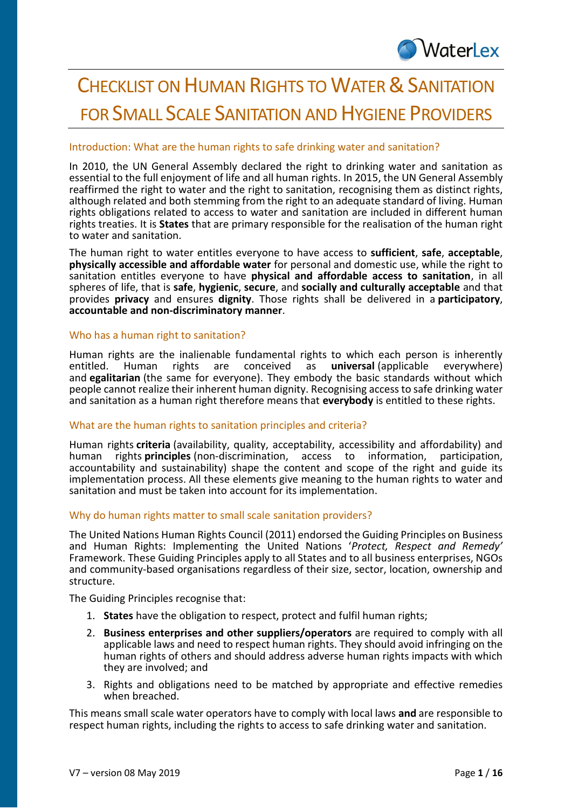# **CHECKLIST ON HUMAN RIGHTS TO WATER & SANITATION** FOR SMALL SCALE SANITATION AND HYGIENE PROVIDERS

## Introduction: What are the human rights [to safe drinking water and sanitation?](http://www.waterlex.org/waterlex-toolkit/what-is-the-human-right-to-safe-drinking-water-and-sanitation/)

In 2010, the UN General Assembly declared the right to drinking water and sanitation as essential to the full enjoyment of life and all human rights. In 2015, the UN General Assembly reaffirmed the right to water and the right to sanitation, recognising them as distinct rights, although related and both stemming from the right to an adequate standard of living. Human rights obligations related to access to water and sanitation are included in different human rights treaties. It is **States** that are primary responsible for the realisation of the human right to water and sanitation.

The human right to water entitles everyone to have access to **sufficient**, **safe**, **acceptable**, **physically accessible and affordable water** for personal and domestic use, while the right to sanitation entitles everyone to have **physical and affordable access to sanitation**, in all spheres of life, that is **safe**, **hygienic**, **secure**, and **socially and culturally acceptable** and that provides **privacy** and ensures **dignity**. Those rights shall be delivered in a **participatory**, **accountable and non-discriminatory manner**.

## [Who has a human right to sanitation?](http://www.waterlex.org/waterlex-toolkit/who-has-a-human-right-to-safe-drinking-water-and-sanitation/)

Human rights are the inalienable fundamental rights to which each person is inherently entitled. Human rights are conceived as **universal** (applicable everywhere) entitled. Human rights are conceived as **universal** (applicable everywhere) and **egalitarian** (the same for everyone). They embody the basic standards without which people cannot realize their inherent human dignity. Recognising access to safe drinking water and sanitation as a human right therefore means that **everybody** is entitled to these rights.

## What are the human rights to sanitation principles and criteria?

Human rights **criteria** (availability, quality, acceptability, accessibility and affordability) and rights **principles** (non-discrimination, access to information, participation, accountability and sustainability) shape the content and scope of the right and guide its implementation process. All these elements give meaning to the human rights to water and sanitation and must be taken into account for its implementation.

## Why do human rights matter to small scale sanitation providers?

The United Nations Human Rights Council (2011) endorsed the Guiding Principles on Business and Human Rights: Implementing the United Nations '*Protect, Respect and Remedy'* Framework. These Guiding Principles apply to all States and to all business enterprises, NGOs and community-based organisations regardless of their size, sector, location, ownership and structure.

The Guiding Principles recognise that:

- 1. **States** have the obligation to respect, protect and fulfil human rights;
- 2. **Business enterprises and other suppliers/operators** are required to comply with all applicable laws and need to respect human rights. They should avoid infringing on the human rights of others and should address adverse human rights impacts with which they are involved; and
- 3. Rights and obligations need to be matched by appropriate and effective remedies when breached.

This means small scale water operators have to comply with local laws **and** are responsible to respect human rights, including the rights to access to safe drinking water and sanitation.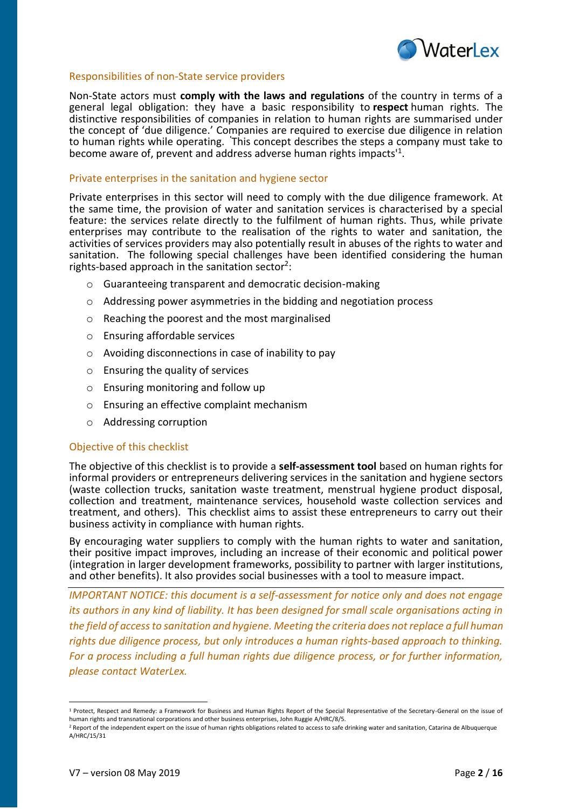

#### Responsibilities of non-State service providers

Non-State actors must **comply with the laws and regulations** of the country in terms of a general legal obligation: they have a basic responsibility to **respect** human rights. The distinctive responsibilities of companies in relation to human rights are summarised under the concept of 'due diligence.' Companies are required to exercise due diligence in relation to human rights while operating. **'**This concept describes the steps a company must take to become aware of, prevent and address adverse human rights impacts'<sup>1</sup> .

#### Private enterprises in the sanitation and hygiene sector

Private enterprises in this sector will need to comply with the due diligence framework. At the same time, the provision of water and sanitation services is characterised by a special feature: the services relate directly to the fulfilment of human rights. Thus, while private enterprises may contribute to the realisation of the rights to water and sanitation, the activities of services providers may also potentially result in abuses of the rights to water and sanitation. The following special challenges have been identified considering the human rights-based approach in the sanitation sector<sup>2</sup>:

- o Guaranteeing transparent and democratic decision-making
- $\circ$  Addressing power asymmetries in the bidding and negotiation process
- o Reaching the poorest and the most marginalised
- o Ensuring affordable services
- o Avoiding disconnections in case of inability to pay
- o Ensuring the quality of services
- o Ensuring monitoring and follow up
- o Ensuring an effective complaint mechanism
- o Addressing corruption

#### Objective of this checklist

The objective of this checklist is to provide a **self-assessment tool** based on human rights for informal providers or entrepreneurs delivering services in the sanitation and hygiene sectors (waste collection trucks, sanitation waste treatment, menstrual hygiene product disposal, collection and treatment, maintenance services, household waste collection services and treatment, and others). This checklist aims to assist these entrepreneurs to carry out their business activity in compliance with human rights.

By encouraging water suppliers to comply with the human rights to water and sanitation, their positive impact improves, including an increase of their economic and political power (integration in larger development frameworks, possibility to partner with larger institutions, and other benefits). It also provides social businesses with a tool to measure impact.

*IMPORTANT NOTICE: this document is a self-assessment for notice only and does not engage its authors in any kind of liability. It has been designed for small scale organisations acting in the field of access to sanitation and hygiene. Meeting the criteria does not replace a full human rights due diligence process, but only introduces a human rights-based approach to thinking. For a process including a full human rights due diligence process, or for further information, please contact WaterLex.*

 $\overline{a}$ 

<sup>&</sup>lt;sup>1</sup> Protect, Respect and Remedy: a Framework for Business and Human Rights Report of the Special Representative of the Secretary-General on the issue of human rights and transnational corporations and other business enterprises, John Ruggie A/HRC/8/5.

<sup>&</sup>lt;sup>2</sup> Report of the independent expert on the issue of human rights obligations related to access to safe drinking water and sanitation, Catarina de Albuquerque A/HRC/15/31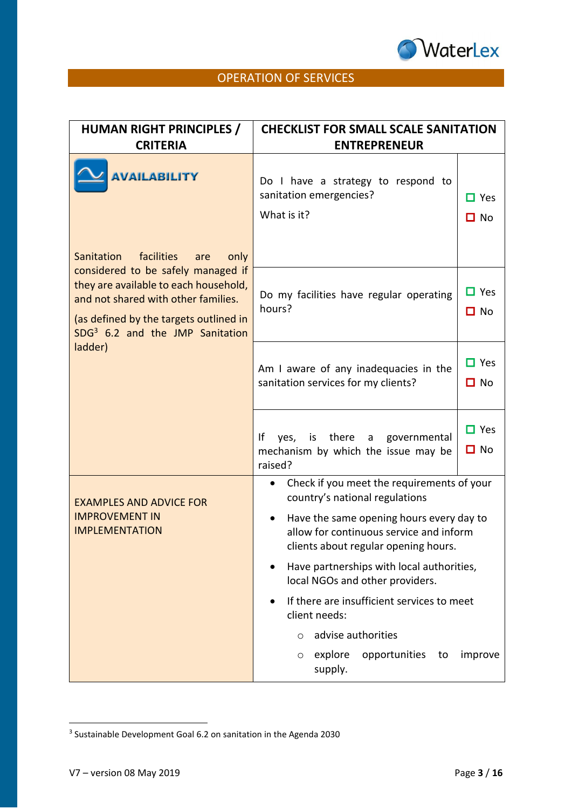

# OPERATION OF SERVICES

| <b>HUMAN RIGHT PRINCIPLES /</b><br><b>CRITERIA</b>                                                                                                                                                                                                                | <b>CHECKLIST FOR SMALL SCALE SANITATION</b><br><b>ENTREPRENEUR</b>                                                                                                                                                                    |
|-------------------------------------------------------------------------------------------------------------------------------------------------------------------------------------------------------------------------------------------------------------------|---------------------------------------------------------------------------------------------------------------------------------------------------------------------------------------------------------------------------------------|
| <b>AVAILABILITY</b>                                                                                                                                                                                                                                               | Do I have a strategy to respond to<br>sanitation emergencies?<br>$\Box$ Yes<br>What is it?<br>$\Box$ No                                                                                                                               |
| facilities<br>Sanitation<br>only<br>are<br>considered to be safely managed if<br>they are available to each household,<br>and not shared with other families.<br>(as defined by the targets outlined in<br>SDG <sup>3</sup> 6.2 and the JMP Sanitation<br>ladder) | $\Box$ Yes<br>Do my facilities have regular operating<br>hours?<br>$\Box$ No                                                                                                                                                          |
|                                                                                                                                                                                                                                                                   | $\Box$ Yes<br>Am I aware of any inadequacies in the<br>sanitation services for my clients?<br>$\Box$ No                                                                                                                               |
|                                                                                                                                                                                                                                                                   | $\Box$ Yes<br>yes, is there a governmental<br>Ιf<br>$\Box$ No<br>mechanism by which the issue may be<br>raised?                                                                                                                       |
| <b>EXAMPLES AND ADVICE FOR</b><br><b>IMPROVEMENT IN</b><br><b>IMPLEMENTATION</b>                                                                                                                                                                                  | Check if you meet the requirements of your<br>$\bullet$<br>country's national regulations<br>Have the same opening hours every day to<br>$\bullet$<br>allow for continuous service and inform<br>clients about regular opening hours. |
|                                                                                                                                                                                                                                                                   | Have partnerships with local authorities,<br>local NGOs and other providers.                                                                                                                                                          |
|                                                                                                                                                                                                                                                                   | If there are insufficient services to meet<br>client needs:                                                                                                                                                                           |
|                                                                                                                                                                                                                                                                   | advise authorities<br>$\circ$                                                                                                                                                                                                         |
|                                                                                                                                                                                                                                                                   | explore<br>opportunities<br>to<br>improve<br>$\circ$<br>supply.                                                                                                                                                                       |

**.** 

<sup>3</sup> Sustainable Development Goal 6.2 on sanitation in the Agenda 2030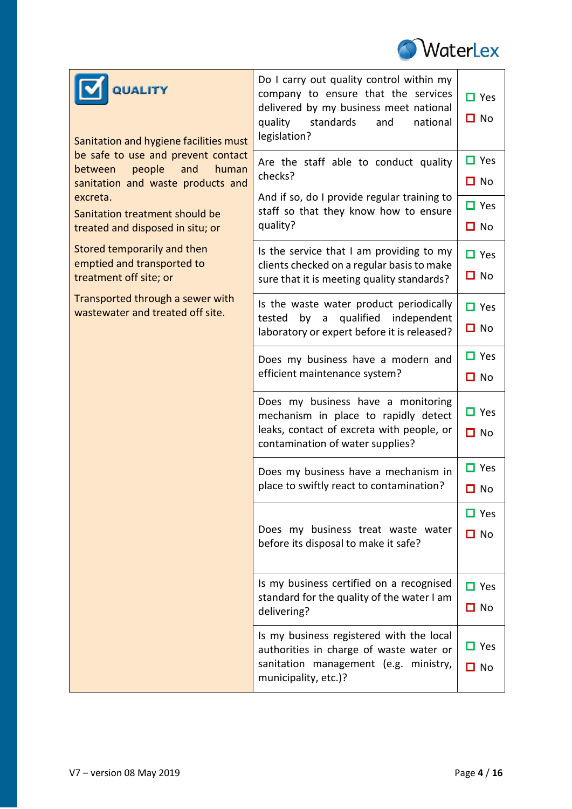

| <b>QUALITY</b><br>Sanitation and hygiene facilities must                                                                                                                                       | Do I carry out quality control within my<br>company to ensure that the services<br>delivered by my business meet national<br>quality<br>standards<br>and<br>national<br>legislation? | $\Box$ Yes<br>$\Box$ No                            |
|------------------------------------------------------------------------------------------------------------------------------------------------------------------------------------------------|--------------------------------------------------------------------------------------------------------------------------------------------------------------------------------------|----------------------------------------------------|
| be safe to use and prevent contact<br>people<br>and<br>human<br>between<br>sanitation and waste products and<br>excreta.<br>Sanitation treatment should be<br>treated and disposed in situ; or | Are the staff able to conduct quality<br>checks?<br>And if so, do I provide regular training to<br>staff so that they know how to ensure<br>quality?                                 | $\Box$ Yes<br>$\Box$ No<br>$\Box$ Yes<br>$\Box$ No |
| Stored temporarily and then<br>emptied and transported to<br>treatment off site; or                                                                                                            | Is the service that I am providing to my<br>clients checked on a regular basis to make<br>sure that it is meeting quality standards?                                                 | $\Box$ Yes<br>$\Box$ No                            |
| Transported through a sewer with<br>wastewater and treated off site.                                                                                                                           | Is the waste water product periodically<br>by a qualified independent<br>tested<br>laboratory or expert before it is released?                                                       | $\Box$ Yes<br>$\Box$ No                            |
|                                                                                                                                                                                                | Does my business have a modern and<br>efficient maintenance system?                                                                                                                  | $\Box$ Yes<br>$\Box$ No                            |
|                                                                                                                                                                                                | Does my business have a monitoring<br>mechanism in place to rapidly detect<br>leaks, contact of excreta with people, or<br>contamination of water supplies?                          | $\Box$ Yes<br>$\Box$ No                            |
|                                                                                                                                                                                                | Does my business have a mechanism in<br>place to swiftly react to contamination?                                                                                                     | $\Box$ Yes<br>$\Box$ No                            |
|                                                                                                                                                                                                | Does my business treat waste water<br>before its disposal to make it safe?                                                                                                           | $\Box$ Yes<br>$\Box$ No                            |
|                                                                                                                                                                                                | Is my business certified on a recognised<br>standard for the quality of the water I am<br>delivering?                                                                                | $\Box$ Yes<br>$\Box$ No                            |
|                                                                                                                                                                                                | Is my business registered with the local<br>authorities in charge of waste water or<br>sanitation management (e.g. ministry,<br>municipality, etc.)?                                 | $\Box$ Yes<br>$\Box$ No                            |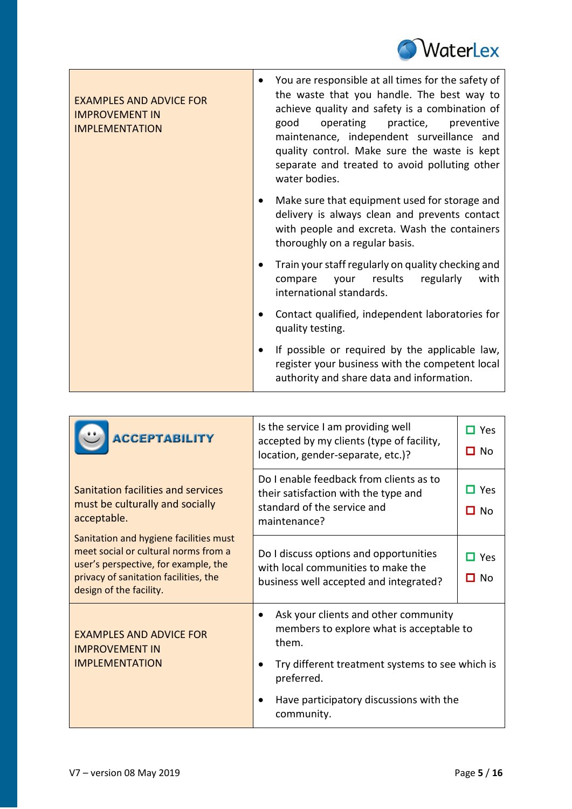

| <b>EXAMPLES AND ADVICE FOR</b><br><b>IMPROVEMENT IN</b><br><b>IMPLEMENTATION</b> | You are responsible at all times for the safety of<br>the waste that you handle. The best way to<br>achieve quality and safety is a combination of<br>operating practice,<br>good<br>preventive<br>maintenance, independent surveillance and<br>quality control. Make sure the waste is kept<br>separate and treated to avoid polluting other<br>water bodies. |
|----------------------------------------------------------------------------------|----------------------------------------------------------------------------------------------------------------------------------------------------------------------------------------------------------------------------------------------------------------------------------------------------------------------------------------------------------------|
|                                                                                  | Make sure that equipment used for storage and<br>delivery is always clean and prevents contact<br>with people and excreta. Wash the containers<br>thoroughly on a regular basis.                                                                                                                                                                               |
|                                                                                  | Train your staff regularly on quality checking and<br>results<br>regularly<br>with<br>compare<br>your<br>international standards.                                                                                                                                                                                                                              |
|                                                                                  | Contact qualified, independent laboratories for<br>quality testing.                                                                                                                                                                                                                                                                                            |
|                                                                                  | If possible or required by the applicable law,<br>register your business with the competent local<br>authority and share data and information.                                                                                                                                                                                                                 |

| <b>ACCEPTABILITY</b>                                                                                                                                                                       | Is the service I am providing well<br>accepted by my clients (type of facility,<br>location, gender-separate, etc.)?                                                                                                | $\Box$ Yes<br>$\Box$ No       |
|--------------------------------------------------------------------------------------------------------------------------------------------------------------------------------------------|---------------------------------------------------------------------------------------------------------------------------------------------------------------------------------------------------------------------|-------------------------------|
| Sanitation facilities and services<br>must be culturally and socially<br>acceptable.                                                                                                       | Do I enable feedback from clients as to<br>their satisfaction with the type and<br>standard of the service and<br>maintenance?                                                                                      | $\square$ Yes<br>$\square$ No |
| Sanitation and hygiene facilities must<br>meet social or cultural norms from a<br>user's perspective, for example, the<br>privacy of sanitation facilities, the<br>design of the facility. | Do I discuss options and opportunities<br>with local communities to make the<br>business well accepted and integrated?                                                                                              | Yes<br>□ No                   |
| <b>EXAMPLES AND ADVICE FOR</b><br><b>IMPROVEMENT IN</b><br><b>IMPLEMENTATION</b>                                                                                                           | Ask your clients and other community<br>members to explore what is acceptable to<br>them.<br>Try different treatment systems to see which is<br>preferred.<br>Have participatory discussions with the<br>community. |                               |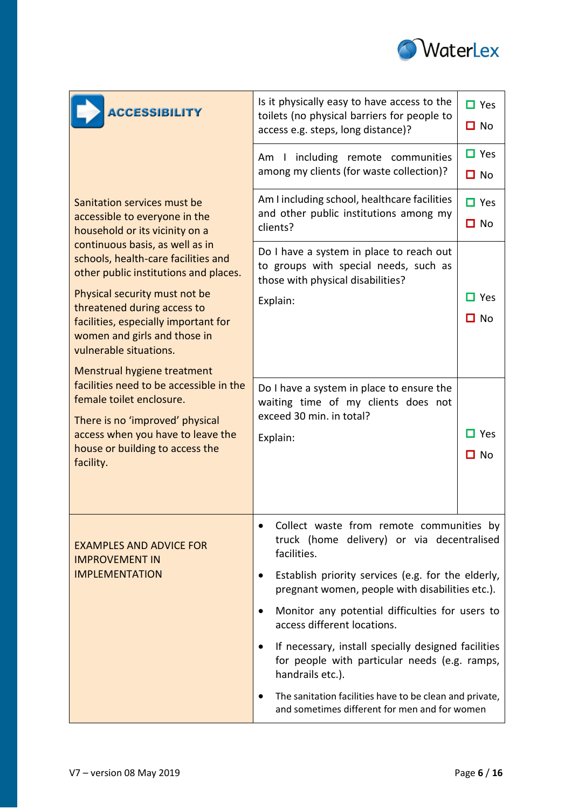

| <b>ACCESSIBILITY</b>                                                                                            | Is it physically easy to have access to the<br>toilets (no physical barriers for people to<br>access e.g. steps, long distance)? | $\Box$ Yes<br>$\Box$ No    |
|-----------------------------------------------------------------------------------------------------------------|----------------------------------------------------------------------------------------------------------------------------------|----------------------------|
|                                                                                                                 | Am I including remote communities<br>among my clients (for waste collection)?                                                    | $\Box$ Yes<br>$\Box$ No    |
| Sanitation services must be<br>accessible to everyone in the<br>household or its vicinity on a                  | Am I including school, healthcare facilities<br>and other public institutions among my<br>clients?                               | $\Box$ Yes<br>$\square$ No |
| continuous basis, as well as in<br>schools, health-care facilities and<br>other public institutions and places. | Do I have a system in place to reach out<br>to groups with special needs, such as<br>those with physical disabilities?           |                            |
| Physical security must not be<br>threatened during access to                                                    | Explain:                                                                                                                         | $\Box$ Yes                 |
| facilities, especially important for                                                                            |                                                                                                                                  | ם No                       |
| women and girls and those in<br>vulnerable situations.                                                          |                                                                                                                                  |                            |
| Menstrual hygiene treatment                                                                                     |                                                                                                                                  |                            |
| facilities need to be accessible in the<br>female toilet enclosure.<br>There is no 'improved' physical          | Do I have a system in place to ensure the<br>waiting time of my clients does not<br>exceed 30 min. in total?                     |                            |
| access when you have to leave the                                                                               | Explain:                                                                                                                         | $\Box$ Yes                 |
| house or building to access the<br>facility.                                                                    |                                                                                                                                  | □ No                       |
|                                                                                                                 |                                                                                                                                  |                            |
| <b>EXAMPLES AND ADVICE FOR</b><br><b>IMPROVEMENT IN</b>                                                         | Collect waste from remote communities by<br>truck (home delivery) or via decentralised<br>facilities.                            |                            |
| <b>IMPLEMENTATION</b>                                                                                           | Establish priority services (e.g. for the elderly,<br>pregnant women, people with disabilities etc.).                            |                            |
|                                                                                                                 | Monitor any potential difficulties for users to<br>access different locations.                                                   |                            |
|                                                                                                                 | If necessary, install specially designed facilities<br>for people with particular needs (e.g. ramps,<br>handrails etc.).         |                            |
|                                                                                                                 | The sanitation facilities have to be clean and private,<br>and sometimes different for men and for women                         |                            |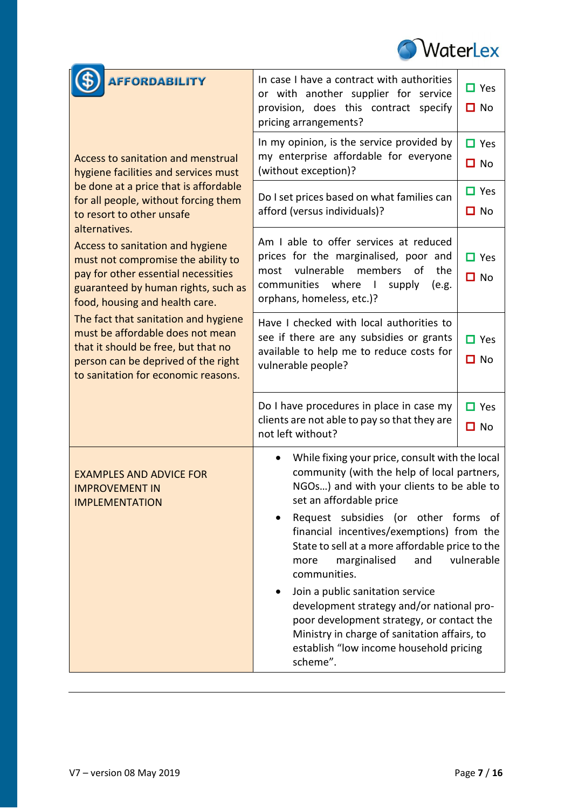

| <b>AFFORDABILITY</b>                                                                                                                                                                          | In case I have a contract with authorities<br>or with another supplier for service<br>provision, does this contract specify<br>pricing arrangements?                                                                                                                                                                                                                                                                                                                                                                                                                                               | $\Box$ Yes<br>$\Box$ No |
|-----------------------------------------------------------------------------------------------------------------------------------------------------------------------------------------------|----------------------------------------------------------------------------------------------------------------------------------------------------------------------------------------------------------------------------------------------------------------------------------------------------------------------------------------------------------------------------------------------------------------------------------------------------------------------------------------------------------------------------------------------------------------------------------------------------|-------------------------|
| <b>Access to sanitation and menstrual</b><br>hygiene facilities and services must                                                                                                             | In my opinion, is the service provided by<br>my enterprise affordable for everyone<br>(without exception)?                                                                                                                                                                                                                                                                                                                                                                                                                                                                                         | $\Box$ Yes<br>$\Box$ No |
| be done at a price that is affordable<br>for all people, without forcing them<br>to resort to other unsafe<br>alternatives.                                                                   | Do I set prices based on what families can<br>afford (versus individuals)?                                                                                                                                                                                                                                                                                                                                                                                                                                                                                                                         | $\Box$ Yes<br>$\Box$ No |
| Access to sanitation and hygiene<br>must not compromise the ability to<br>pay for other essential necessities<br>guaranteed by human rights, such as<br>food, housing and health care.        | Am I able to offer services at reduced<br>prices for the marginalised, poor and<br>vulnerable members<br>the<br>most<br>οf<br>communities where I<br>supply<br>(e.g.<br>orphans, homeless, etc.)?                                                                                                                                                                                                                                                                                                                                                                                                  | $\Box$ Yes<br>$\Box$ No |
| The fact that sanitation and hygiene<br>must be affordable does not mean<br>that it should be free, but that no<br>person can be deprived of the right<br>to sanitation for economic reasons. | Have I checked with local authorities to<br>see if there are any subsidies or grants<br>available to help me to reduce costs for<br>vulnerable people?                                                                                                                                                                                                                                                                                                                                                                                                                                             | $\Box$ Yes<br>$\Box$ No |
|                                                                                                                                                                                               | Do I have procedures in place in case my<br>clients are not able to pay so that they are<br>not left without?                                                                                                                                                                                                                                                                                                                                                                                                                                                                                      | $\Box$ Yes<br>$\Box$ No |
| <b>EXAMPLES AND ADVICE FOR</b><br><b>IMPROVEMENT IN</b><br><b>IMPLEMENTATION</b>                                                                                                              | While fixing your price, consult with the local<br>community (with the help of local partners,<br>NGOs) and with your clients to be able to<br>set an affordable price<br>Request subsidies (or other forms of<br>financial incentives/exemptions) from the<br>State to sell at a more affordable price to the<br>marginalised<br>and<br>more<br>communities.<br>Join a public sanitation service<br>development strategy and/or national pro-<br>poor development strategy, or contact the<br>Ministry in charge of sanitation affairs, to<br>establish "low income household pricing<br>scheme". | vulnerable              |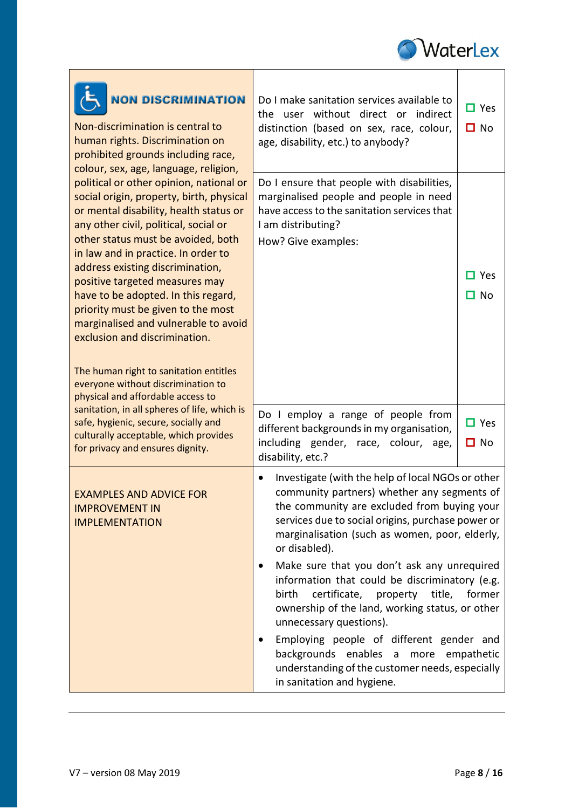

| <b>NON DISCRIMINATION</b><br>Non-discrimination is central to<br>human rights. Discrimination on<br>prohibited grounds including race,<br>colour, sex, age, language, religion,                                                                     | Do I make sanitation services available to<br>user without direct or indirect<br>the<br>distinction (based on sex, race, colour,<br>age, disability, etc.) to anybody?                                                                                                               | $\Box$ Yes<br>$\Box$ No |
|-----------------------------------------------------------------------------------------------------------------------------------------------------------------------------------------------------------------------------------------------------|--------------------------------------------------------------------------------------------------------------------------------------------------------------------------------------------------------------------------------------------------------------------------------------|-------------------------|
| political or other opinion, national or<br>social origin, property, birth, physical<br>or mental disability, health status or<br>any other civil, political, social or<br>other status must be avoided, both<br>in law and in practice. In order to | Do I ensure that people with disabilities,<br>marginalised people and people in need<br>have access to the sanitation services that<br>I am distributing?<br>How? Give examples:                                                                                                     |                         |
| address existing discrimination,<br>positive targeted measures may<br>have to be adopted. In this regard,<br>priority must be given to the most<br>marginalised and vulnerable to avoid<br>exclusion and discrimination.                            |                                                                                                                                                                                                                                                                                      | $\Box$ Yes<br>$\Box$ No |
| The human right to sanitation entitles<br>everyone without discrimination to<br>physical and affordable access to                                                                                                                                   |                                                                                                                                                                                                                                                                                      |                         |
| sanitation, in all spheres of life, which is<br>safe, hygienic, secure, socially and<br>culturally acceptable, which provides<br>for privacy and ensures dignity.                                                                                   | Do I employ a range of people from<br>different backgrounds in my organisation,<br>including gender, race, colour,<br>age,<br>disability, etc.?                                                                                                                                      | $\Box$ Yes<br>$\Box$ No |
| <b>EXAMPLES AND ADVICE FOR</b><br><b>IMPROVEMENT IN</b><br><b>IMPLEMENTATION</b>                                                                                                                                                                    | Investigate (with the help of local NGOs or other<br>$\bullet$<br>community partners) whether any segments of<br>the community are excluded from buying your<br>services due to social origins, purchase power or<br>marginalisation (such as women, poor, elderly,<br>or disabled). |                         |
|                                                                                                                                                                                                                                                     | Make sure that you don't ask any unrequired<br>$\bullet$<br>information that could be discriminatory (e.g.<br>certificate,<br>property<br>title,<br>birth<br>ownership of the land, working status, or other<br>unnecessary questions).                                              | former                  |
|                                                                                                                                                                                                                                                     | Employing people of different gender and<br>backgrounds enables a more empathetic<br>understanding of the customer needs, especially<br>in sanitation and hygiene.                                                                                                                   |                         |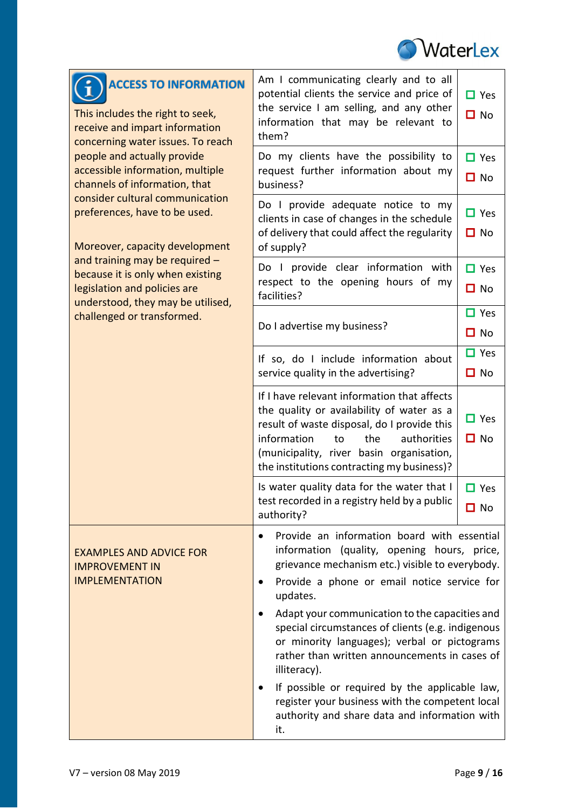

| <b>ACCESS TO INFORMATION</b><br>This includes the right to seek,<br>receive and impart information<br>concerning water issues. To reach | Am I communicating clearly and to all<br>potential clients the service and price of<br>the service I am selling, and any other<br>information that may be relevant to<br>them?                                                                                                                                                                                                                                                             | $\Box$ Yes<br>$\Box$ No    |
|-----------------------------------------------------------------------------------------------------------------------------------------|--------------------------------------------------------------------------------------------------------------------------------------------------------------------------------------------------------------------------------------------------------------------------------------------------------------------------------------------------------------------------------------------------------------------------------------------|----------------------------|
| people and actually provide<br>accessible information, multiple<br>channels of information, that                                        | Do my clients have the possibility to<br>request further information about my<br>business?                                                                                                                                                                                                                                                                                                                                                 | $\Box$ Yes<br>$\Box$ No    |
| consider cultural communication<br>preferences, have to be used.<br>Moreover, capacity development                                      | Do I provide adequate notice to my<br>clients in case of changes in the schedule<br>of delivery that could affect the regularity<br>of supply?                                                                                                                                                                                                                                                                                             | $\Box$ Yes<br>$\Box$ No    |
| and training may be required -<br>because it is only when existing<br>legislation and policies are<br>understood, they may be utilised, | Do I provide clear information with<br>respect to the opening hours of my<br>facilities?                                                                                                                                                                                                                                                                                                                                                   | $\Box$ Yes<br>$\Box$ No    |
| challenged or transformed.                                                                                                              | Do I advertise my business?                                                                                                                                                                                                                                                                                                                                                                                                                | $\Box$ Yes<br>No<br>О      |
|                                                                                                                                         | If so, do I include information about<br>service quality in the advertising?                                                                                                                                                                                                                                                                                                                                                               | $\Box$ Yes<br>$\Box$ No    |
|                                                                                                                                         | If I have relevant information that affects<br>the quality or availability of water as a<br>result of waste disposal, do I provide this<br>information<br>the<br>authorities<br>to<br>(municipality, river basin organisation,<br>the institutions contracting my business)?                                                                                                                                                               | $\Box$ Yes<br>$\Box$ No    |
|                                                                                                                                         | Is water quality data for the water that I<br>test recorded in a registry held by a public<br>authority?                                                                                                                                                                                                                                                                                                                                   | $\Box$ Yes<br>$\square$ No |
| <b>EXAMPLES AND ADVICE FOR</b><br><b>IMPROVEMENT IN</b><br><b>IMPLEMENTATION</b>                                                        | Provide an information board with essential<br>$\bullet$<br>information (quality, opening hours, price,<br>grievance mechanism etc.) visible to everybody.<br>Provide a phone or email notice service for<br>$\bullet$<br>updates.<br>Adapt your communication to the capacities and<br>special circumstances of clients (e.g. indigenous<br>or minority languages); verbal or pictograms<br>rather than written announcements in cases of |                            |
|                                                                                                                                         | illiteracy).<br>If possible or required by the applicable law,<br>register your business with the competent local<br>authority and share data and information with<br>it.                                                                                                                                                                                                                                                                  |                            |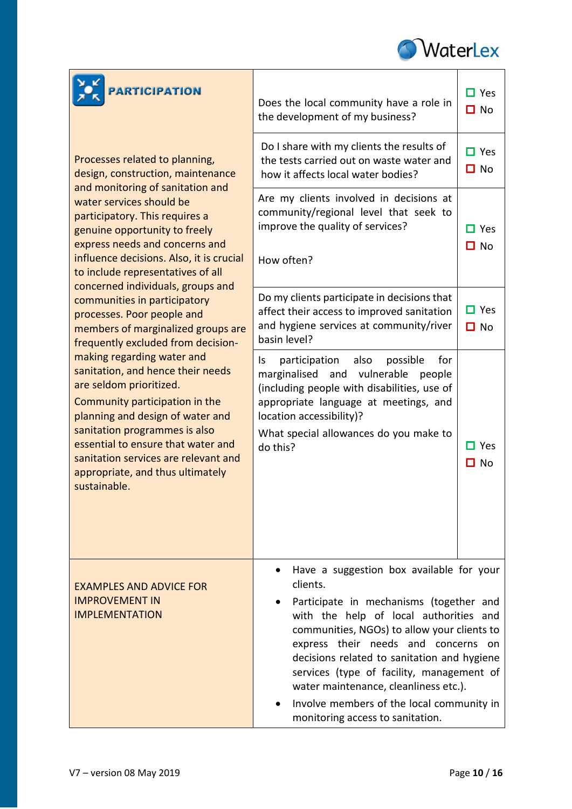

| <b>PARTICIPATION</b>                                                                                                                                                        | Does the local community have a role in<br>the development of my business?                                                                                                                                                                                                                                                                                | $\Box$ Yes<br>$\Box$ No |
|-----------------------------------------------------------------------------------------------------------------------------------------------------------------------------|-----------------------------------------------------------------------------------------------------------------------------------------------------------------------------------------------------------------------------------------------------------------------------------------------------------------------------------------------------------|-------------------------|
| Processes related to planning,<br>design, construction, maintenance<br>and monitoring of sanitation and                                                                     | Do I share with my clients the results of<br>the tests carried out on waste water and<br>how it affects local water bodies?                                                                                                                                                                                                                               | $\Box$ Yes<br>$\Box$ No |
| water services should be<br>participatory. This requires a<br>genuine opportunity to freely                                                                                 | Are my clients involved in decisions at<br>community/regional level that seek to<br>improve the quality of services?                                                                                                                                                                                                                                      | $\Box$ Yes              |
| express needs and concerns and<br>influence decisions. Also, it is crucial<br>to include representatives of all                                                             | How often?                                                                                                                                                                                                                                                                                                                                                | $\Box$ No               |
| concerned individuals, groups and<br>communities in participatory<br>processes. Poor people and<br>members of marginalized groups are<br>frequently excluded from decision- | Do my clients participate in decisions that<br>affect their access to improved sanitation<br>and hygiene services at community/river<br>basin level?                                                                                                                                                                                                      | $\Box$ Yes<br>$\Box$ No |
| making regarding water and<br>sanitation, and hence their needs<br>are seldom prioritized.<br>Community participation in the<br>planning and design of water and            | participation also<br>possible<br>for<br>Is.<br>marginalised and vulnerable<br>people<br>(including people with disabilities, use of<br>appropriate language at meetings, and<br>location accessibility)?                                                                                                                                                 |                         |
| sanitation programmes is also<br>essential to ensure that water and<br>sanitation services are relevant and<br>appropriate, and thus ultimately<br>sustainable.             | What special allowances do you make to<br>do this?                                                                                                                                                                                                                                                                                                        | $\Box$ Yes<br>∐ No      |
|                                                                                                                                                                             |                                                                                                                                                                                                                                                                                                                                                           |                         |
| <b>EXAMPLES AND ADVICE FOR</b>                                                                                                                                              | Have a suggestion box available for your<br>clients.                                                                                                                                                                                                                                                                                                      |                         |
| <b>IMPROVEMENT IN</b><br><b>IMPLEMENTATION</b>                                                                                                                              | Participate in mechanisms (together and<br>with the help of local authorities and<br>communities, NGOs) to allow your clients to<br>express their needs and concerns on<br>decisions related to sanitation and hygiene<br>services (type of facility, management of<br>water maintenance, cleanliness etc.).<br>Involve members of the local community in |                         |
|                                                                                                                                                                             | monitoring access to sanitation.                                                                                                                                                                                                                                                                                                                          |                         |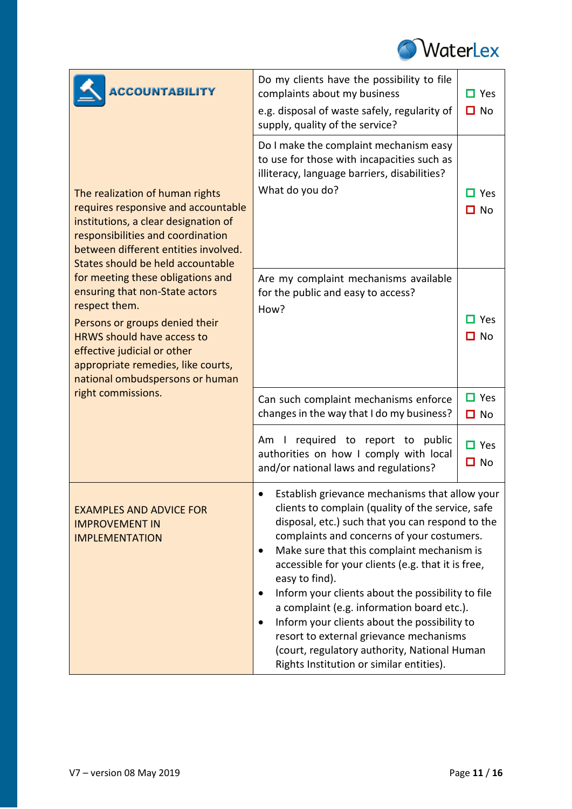

| <b>ACCOUNTABILITY</b>                                                                                                                                                                                                                                                                                                                                                                                                                                                                                   | Do my clients have the possibility to file<br>complaints about my business<br>e.g. disposal of waste safely, regularity of<br>supply, quality of the service?                                                                                                                                                                                                                                                                                                                                                                                                                                                                      | $\Box$ Yes<br>$\Box$ No    |
|---------------------------------------------------------------------------------------------------------------------------------------------------------------------------------------------------------------------------------------------------------------------------------------------------------------------------------------------------------------------------------------------------------------------------------------------------------------------------------------------------------|------------------------------------------------------------------------------------------------------------------------------------------------------------------------------------------------------------------------------------------------------------------------------------------------------------------------------------------------------------------------------------------------------------------------------------------------------------------------------------------------------------------------------------------------------------------------------------------------------------------------------------|----------------------------|
| The realization of human rights<br>requires responsive and accountable<br>institutions, a clear designation of<br>responsibilities and coordination<br>between different entities involved.<br>States should be held accountable<br>for meeting these obligations and<br>ensuring that non-State actors<br>respect them.<br>Persons or groups denied their<br><b>HRWS should have access to</b><br>effective judicial or other<br>appropriate remedies, like courts,<br>national ombudspersons or human | Do I make the complaint mechanism easy<br>to use for those with incapacities such as<br>illiteracy, language barriers, disabilities?<br>What do you do?                                                                                                                                                                                                                                                                                                                                                                                                                                                                            | $\Box$ Yes<br>$\Box$ No    |
|                                                                                                                                                                                                                                                                                                                                                                                                                                                                                                         | Are my complaint mechanisms available<br>for the public and easy to access?<br>How?                                                                                                                                                                                                                                                                                                                                                                                                                                                                                                                                                | $\Box$ Yes<br>$\Box$ No    |
| right commissions.                                                                                                                                                                                                                                                                                                                                                                                                                                                                                      | Can such complaint mechanisms enforce<br>changes in the way that I do my business?                                                                                                                                                                                                                                                                                                                                                                                                                                                                                                                                                 | $\Box$ Yes<br>$\Box$ No    |
|                                                                                                                                                                                                                                                                                                                                                                                                                                                                                                         | required to report to public<br>Am<br>$\Box$<br>authorities on how I comply with local<br>and/or national laws and regulations?                                                                                                                                                                                                                                                                                                                                                                                                                                                                                                    | $\Box$ Yes<br>$\square$ No |
| <b>EXAMPLES AND ADVICE FOR</b><br><b>IMPROVEMENT IN</b><br><b>IMPLEMENTATION</b>                                                                                                                                                                                                                                                                                                                                                                                                                        | Establish grievance mechanisms that allow your<br>clients to complain (quality of the service, safe<br>disposal, etc.) such that you can respond to the<br>complaints and concerns of your costumers.<br>Make sure that this complaint mechanism is<br>$\bullet$<br>accessible for your clients (e.g. that it is free,<br>easy to find).<br>Inform your clients about the possibility to file<br>a complaint (e.g. information board etc.).<br>Inform your clients about the possibility to<br>resort to external grievance mechanisms<br>(court, regulatory authority, National Human<br>Rights Institution or similar entities). |                            |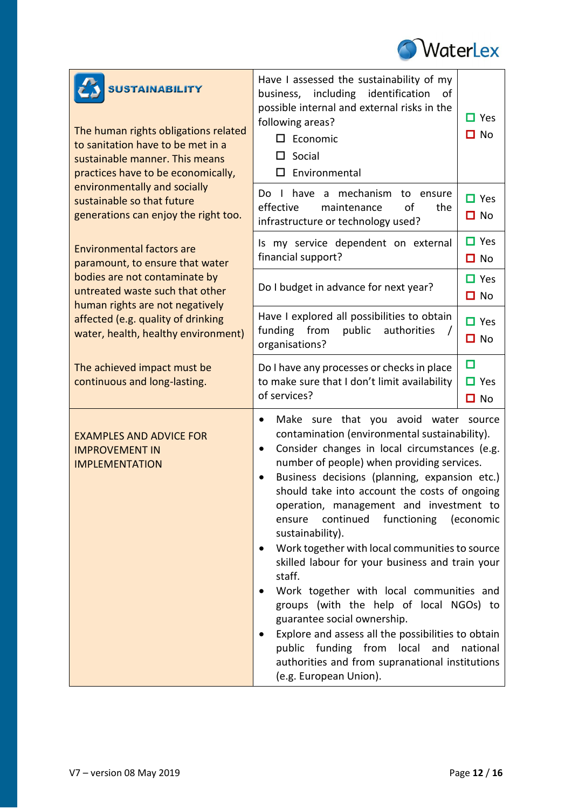

| <b>SUSTAINABILITY</b><br>The human rights obligations related<br>to sanitation have to be met in a<br>sustainable manner. This means<br>practices have to be economically, | Have I assessed the sustainability of my<br>business, including identification<br>οf<br>possible internal and external risks in the<br>following areas?<br>$\square$ Economic<br>$\Box$ Social<br>$\square$ Environmental                                                                                                                                                                                                                                                                                                                                                                                                                                                                                                                                                                                                                                             | $\Box$ Yes<br>$\Box$ No      |
|----------------------------------------------------------------------------------------------------------------------------------------------------------------------------|-----------------------------------------------------------------------------------------------------------------------------------------------------------------------------------------------------------------------------------------------------------------------------------------------------------------------------------------------------------------------------------------------------------------------------------------------------------------------------------------------------------------------------------------------------------------------------------------------------------------------------------------------------------------------------------------------------------------------------------------------------------------------------------------------------------------------------------------------------------------------|------------------------------|
| environmentally and socially<br>sustainable so that future<br>generations can enjoy the right too.                                                                         | have a mechanism to ensure<br>Do I<br>effective<br>of<br>maintenance<br>the<br>infrastructure or technology used?                                                                                                                                                                                                                                                                                                                                                                                                                                                                                                                                                                                                                                                                                                                                                     | $\Box$ Yes<br>$\Box$ No      |
| <b>Environmental factors are</b><br>paramount, to ensure that water                                                                                                        | Is my service dependent on external<br>financial support?                                                                                                                                                                                                                                                                                                                                                                                                                                                                                                                                                                                                                                                                                                                                                                                                             | $\Box$ Yes<br>$\Box$ No      |
| bodies are not contaminate by<br>untreated waste such that other                                                                                                           | Do I budget in advance for next year?                                                                                                                                                                                                                                                                                                                                                                                                                                                                                                                                                                                                                                                                                                                                                                                                                                 | $\Box$ Yes<br>$\Box$ No      |
| human rights are not negatively<br>affected (e.g. quality of drinking<br>water, health, healthy environment)                                                               | Have I explored all possibilities to obtain<br>funding<br>from<br>public<br>authorities<br>organisations?                                                                                                                                                                                                                                                                                                                                                                                                                                                                                                                                                                                                                                                                                                                                                             | $\Box$ Yes<br>$\Box$ No      |
| The achieved impact must be<br>continuous and long-lasting.                                                                                                                | Do I have any processes or checks in place<br>to make sure that I don't limit availability<br>of services?                                                                                                                                                                                                                                                                                                                                                                                                                                                                                                                                                                                                                                                                                                                                                            | □<br>$\Box$ Yes<br>$\Box$ No |
| <b>EXAMPLES AND ADVICE FOR</b><br><b>IMPROVEMENT IN</b><br><b>IMPLEMENTATION</b>                                                                                           | Make sure that you avoid water source<br>$\bullet$<br>contamination (environmental sustainability).<br>Consider changes in local circumstances (e.g.<br>$\bullet$<br>number of people) when providing services.<br>Business decisions (planning, expansion etc.)<br>$\bullet$<br>should take into account the costs of ongoing<br>operation, management and investment to<br>continued<br>functioning<br>(economic<br>ensure<br>sustainability).<br>Work together with local communities to source<br>skilled labour for your business and train your<br>staff.<br>Work together with local communities and<br>groups (with the help of local NGOs) to<br>guarantee social ownership.<br>Explore and assess all the possibilities to obtain<br>public funding from local and<br>national<br>authorities and from supranational institutions<br>(e.g. European Union). |                              |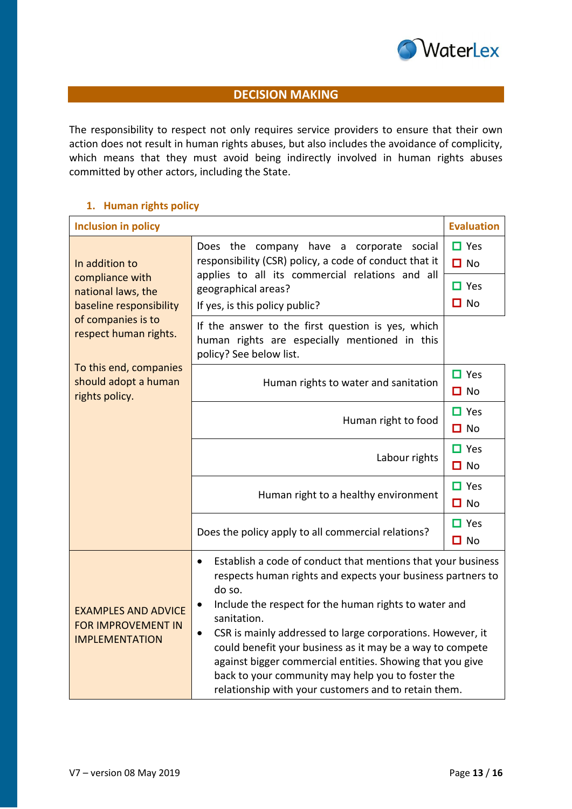

# **DECISION MAKING**

The responsibility to respect not only requires service providers to ensure that their own action does not result in human rights abuses, but also includes the avoidance of complicity, which means that they must avoid being indirectly involved in human rights abuses committed by other actors, including the State.

## **1. Human rights policy**

| <b>Inclusion in policy</b>                                                       |                                                                                                                                                                                                                                                                                                                                                                                                                                                                                                                                                           | <b>Evaluation</b>       |
|----------------------------------------------------------------------------------|-----------------------------------------------------------------------------------------------------------------------------------------------------------------------------------------------------------------------------------------------------------------------------------------------------------------------------------------------------------------------------------------------------------------------------------------------------------------------------------------------------------------------------------------------------------|-------------------------|
| In addition to<br>compliance with                                                | Does the company have a corporate<br>social<br>responsibility (CSR) policy, a code of conduct that it<br>applies to all its commercial relations and all                                                                                                                                                                                                                                                                                                                                                                                                  | $\Box$ Yes<br>$\Box$ No |
| national laws, the                                                               | geographical areas?                                                                                                                                                                                                                                                                                                                                                                                                                                                                                                                                       | $\Box$ Yes              |
| baseline responsibility                                                          | If yes, is this policy public?                                                                                                                                                                                                                                                                                                                                                                                                                                                                                                                            | $\Box$ No               |
| of companies is to<br>respect human rights.                                      | If the answer to the first question is yes, which<br>human rights are especially mentioned in this<br>policy? See below list.                                                                                                                                                                                                                                                                                                                                                                                                                             |                         |
| To this end, companies<br>should adopt a human<br>rights policy.                 | Human rights to water and sanitation                                                                                                                                                                                                                                                                                                                                                                                                                                                                                                                      | $\Box$ Yes<br>$\Box$ No |
|                                                                                  | Human right to food                                                                                                                                                                                                                                                                                                                                                                                                                                                                                                                                       | $\Box$ Yes<br>$\Box$ No |
|                                                                                  | Labour rights                                                                                                                                                                                                                                                                                                                                                                                                                                                                                                                                             | $\Box$ Yes<br>$\Box$ No |
|                                                                                  | Human right to a healthy environment                                                                                                                                                                                                                                                                                                                                                                                                                                                                                                                      | $\Box$ Yes<br>$\Box$ No |
|                                                                                  | Does the policy apply to all commercial relations?                                                                                                                                                                                                                                                                                                                                                                                                                                                                                                        |                         |
| <b>EXAMPLES AND ADVICE</b><br><b>FOR IMPROVEMENT IN</b><br><b>IMPLEMENTATION</b> | Establish a code of conduct that mentions that your business<br>$\bullet$<br>respects human rights and expects your business partners to<br>do so.<br>Include the respect for the human rights to water and<br>$\bullet$<br>sanitation.<br>CSR is mainly addressed to large corporations. However, it<br>$\bullet$<br>could benefit your business as it may be a way to compete<br>against bigger commercial entities. Showing that you give<br>back to your community may help you to foster the<br>relationship with your customers and to retain them. |                         |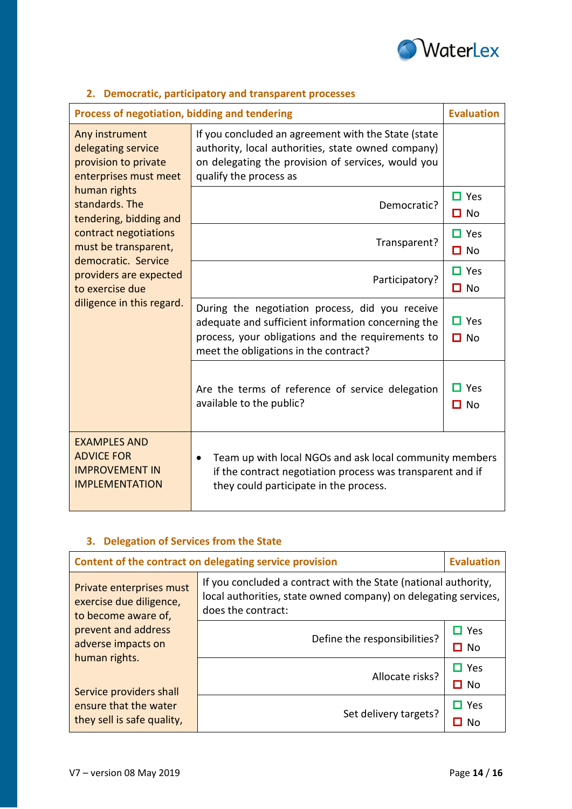

| Process of negotiation, bidding and tendering                                                                                                                                                                                                                                                       |                                                                                                                                                                                                     |                         |
|-----------------------------------------------------------------------------------------------------------------------------------------------------------------------------------------------------------------------------------------------------------------------------------------------------|-----------------------------------------------------------------------------------------------------------------------------------------------------------------------------------------------------|-------------------------|
| Any instrument<br>delegating service<br>provision to private<br>enterprises must meet<br>human rights<br>standards. The<br>tendering, bidding and<br>contract negotiations<br>must be transparent,<br>democratic. Service<br>providers are expected<br>to exercise due<br>diligence in this regard. | If you concluded an agreement with the State (state<br>authority, local authorities, state owned company)<br>on delegating the provision of services, would you<br>qualify the process as           |                         |
|                                                                                                                                                                                                                                                                                                     | Democratic?                                                                                                                                                                                         | $\Box$ Yes<br>$\Box$ No |
|                                                                                                                                                                                                                                                                                                     | Transparent?                                                                                                                                                                                        | $\Box$ Yes<br>$\Box$ No |
|                                                                                                                                                                                                                                                                                                     | Participatory?                                                                                                                                                                                      | $\Box$ Yes<br>$\Box$ No |
|                                                                                                                                                                                                                                                                                                     | During the negotiation process, did you receive<br>adequate and sufficient information concerning the<br>process, your obligations and the requirements to<br>meet the obligations in the contract? | $\Box$ Yes<br>$\Box$ No |
|                                                                                                                                                                                                                                                                                                     | Are the terms of reference of service delegation<br>available to the public?                                                                                                                        | $\Box$ Yes<br>$\Box$ No |
| <b>EXAMPLES AND</b><br><b>ADVICE FOR</b><br><b>IMPROVEMENT IN</b><br><b>IMPLEMENTATION</b>                                                                                                                                                                                                          | Team up with local NGOs and ask local community members<br>if the contract negotiation process was transparent and if<br>they could participate in the process.                                     |                         |

# **2. Democratic, participatory and transparent processes**

# **3. Delegation of Services from the State**

| Content of the contract on delegating service provision                                                                                                                                                                    |                                                                                                                                                          | <b>Evaluation</b>          |
|----------------------------------------------------------------------------------------------------------------------------------------------------------------------------------------------------------------------------|----------------------------------------------------------------------------------------------------------------------------------------------------------|----------------------------|
| Private enterprises must<br>exercise due diligence,<br>to become aware of,<br>prevent and address<br>adverse impacts on<br>human rights.<br>Service providers shall<br>ensure that the water<br>they sell is safe quality, | If you concluded a contract with the State (national authority,<br>local authorities, state owned company) on delegating services,<br>does the contract: |                            |
|                                                                                                                                                                                                                            | Define the responsibilities?                                                                                                                             | $\Box$ Yes<br>$\Box$ No    |
|                                                                                                                                                                                                                            | Allocate risks?                                                                                                                                          | $\Box$ Yes<br>$\square$ No |
|                                                                                                                                                                                                                            | Set delivery targets?                                                                                                                                    | $\Box$ Yes<br>Nο           |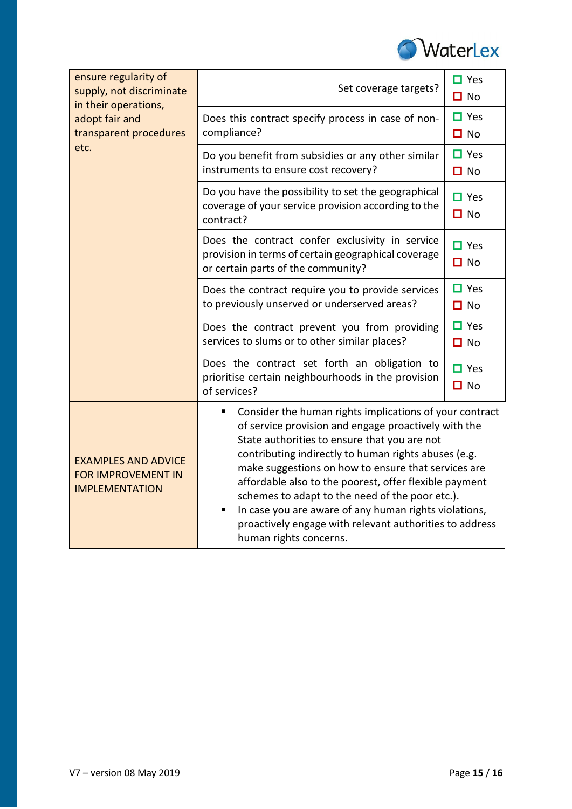

| ensure regularity of<br>supply, not discriminate<br>in their operations,<br>adopt fair and<br>transparent procedures<br>etc. | Set coverage targets?                                                                                                                                                                                                                                                                                                                                                                                                                                                                                                                               | $\Box$ Yes<br>$\Box$ No |
|------------------------------------------------------------------------------------------------------------------------------|-----------------------------------------------------------------------------------------------------------------------------------------------------------------------------------------------------------------------------------------------------------------------------------------------------------------------------------------------------------------------------------------------------------------------------------------------------------------------------------------------------------------------------------------------------|-------------------------|
|                                                                                                                              | Does this contract specify process in case of non-<br>compliance?                                                                                                                                                                                                                                                                                                                                                                                                                                                                                   | $\Box$ Yes<br>$\Box$ No |
|                                                                                                                              | Do you benefit from subsidies or any other similar<br>instruments to ensure cost recovery?                                                                                                                                                                                                                                                                                                                                                                                                                                                          | $\Box$ Yes<br>$\Box$ No |
|                                                                                                                              | Do you have the possibility to set the geographical<br>coverage of your service provision according to the<br>contract?                                                                                                                                                                                                                                                                                                                                                                                                                             | $\Box$ Yes<br>$\Box$ No |
|                                                                                                                              | Does the contract confer exclusivity in service<br>provision in terms of certain geographical coverage<br>or certain parts of the community?                                                                                                                                                                                                                                                                                                                                                                                                        | $\Box$ Yes<br>$\Box$ No |
|                                                                                                                              | Does the contract require you to provide services<br>to previously unserved or underserved areas?                                                                                                                                                                                                                                                                                                                                                                                                                                                   | $\Box$ Yes<br>$\Box$ No |
|                                                                                                                              | Does the contract prevent you from providing<br>services to slums or to other similar places?                                                                                                                                                                                                                                                                                                                                                                                                                                                       | $\Box$ Yes<br>$\Box$ No |
|                                                                                                                              | Does the contract set forth an obligation to<br>prioritise certain neighbourhoods in the provision<br>of services?                                                                                                                                                                                                                                                                                                                                                                                                                                  | $\Box$ Yes<br>$\Box$ No |
| <b>EXAMPLES AND ADVICE</b><br><b>FOR IMPROVEMENT IN</b><br><b>IMPLEMENTATION</b>                                             | Consider the human rights implications of your contract<br>п<br>of service provision and engage proactively with the<br>State authorities to ensure that you are not<br>contributing indirectly to human rights abuses (e.g.<br>make suggestions on how to ensure that services are<br>affordable also to the poorest, offer flexible payment<br>schemes to adapt to the need of the poor etc.).<br>In case you are aware of any human rights violations,<br>٠<br>proactively engage with relevant authorities to address<br>human rights concerns. |                         |